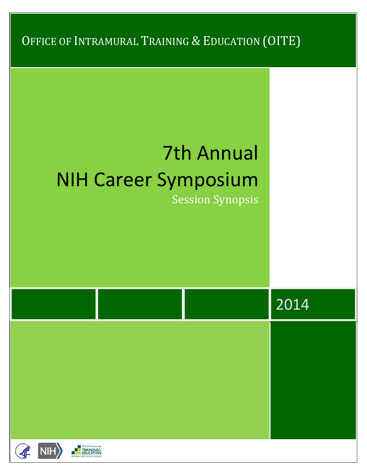OFFICE OF INTRAMURAL TRAINING & EDUCATION (OITE)

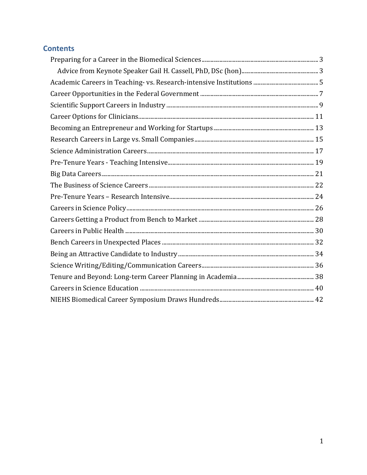# **Contents**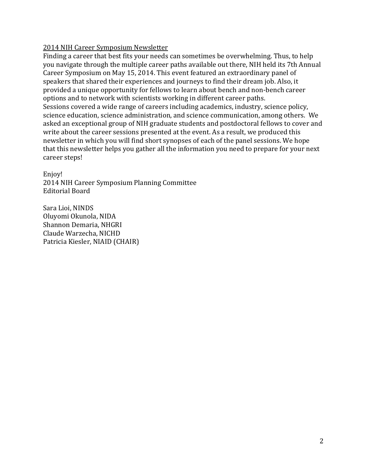# 2014 NIH Career Symposium Newsletter

Finding a career that best fits your needs can sometimes be overwhelming. Thus, to help you navigate through the multiple career paths available out there, NIH held its 7th Annual Career Symposium on May 15, 2014. This event featured an extraordinary panel of speakers that shared their experiences and journeys to find their dream job. Also, it provided a unique opportunity for fellows to learn about bench and non-bench career options and to network with scientists working in different career paths. Sessions covered a wide range of careers including academics, industry, science policy, science education, science administration, and science communication, among others. We asked an exceptional group of NIH graduate students and postdoctoral fellows to cover and write about the career sessions presented at the event. As a result, we produced this newsletter in which you will find short synopses of each of the panel sessions. We hope that this newsletter helps you gather all the information you need to prepare for your next career steps!

Enjoy! 2014 NIH Career Symposium Planning Committee Editorial Board

Sara Lioi, NINDS Oluyomi Okunola, NIDA Shannon Demaria, NHGRI Claude Warzecha, NICHD Patricia Kiesler, NIAID (CHAIR)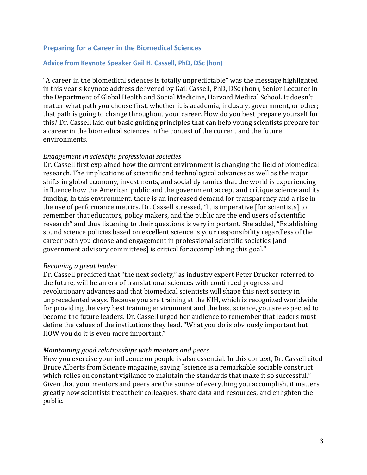# <span id="page-3-0"></span>**Preparing for a Career in the Biomedical Sciences**

#### <span id="page-3-1"></span>**Advice from Keynote Speaker Gail H. Cassell, PhD, DSc (hon)**

"A career in the biomedical sciences is totally unpredictable" was the message highlighted in this year's keynote address delivered by Gail Cassell, PhD, DSc (hon), Senior Lecturer in the Department of Global Health and Social Medicine, Harvard Medical School. It doesn't matter what path you choose first, whether it is academia, industry, government, or other; that path is going to change throughout your career. How do you best prepare yourself for this? Dr. Cassell laid out basic guiding principles that can help young scientists prepare for a career in the biomedical sciences in the context of the current and the future environments.

#### *Engagement in scientific professional societies*

Dr. Cassell first explained how the current environment is changing the field of biomedical research. The implications of scientific and technological advances as well as the major shifts in global economy, investments, and social dynamics that the world is experiencing influence how the American public and the government accept and critique science and its funding. In this environment, there is an increased demand for transparency and a rise in the use of performance metrics. Dr. Cassell stressed, "It is imperative [for scientists] to remember that educators, policy makers, and the public are the end users of scientific research" and thus listening to their questions is very important. She added, "Establishing sound science policies based on excellent science is your responsibility regardless of the career path you choose and engagement in professional scientific societies [and government advisory committees] is critical for accomplishing this goal."

#### *Becoming a great leader*

Dr. Cassell predicted that "the next society," as industry expert Peter Drucker referred to the future, will be an era of translational sciences with continued progress and revolutionary advances and that biomedical scientists will shape this next society in unprecedented ways. Because you are training at the NIH, which is recognized worldwide for providing the very best training environment and the best science, you are expected to become the future leaders. Dr. Cassell urged her audience to remember that leaders must define the values of the institutions they lead. "What you do is obviously important but HOW you do it is even more important."

#### *Maintaining good relationships with mentors and peers*

How you exercise your influence on people is also essential. In this context, Dr. Cassell cited Bruce Alberts from Science magazine, saying "science is a remarkable sociable construct which relies on constant vigilance to maintain the standards that make it so successful." Given that your mentors and peers are the source of everything you accomplish, it matters greatly how scientists treat their colleagues, share data and resources, and enlighten the public.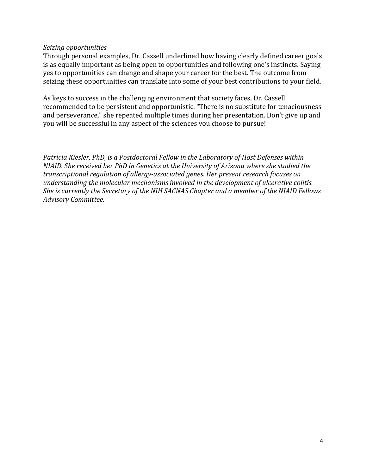### *Seizing opportunities*

Through personal examples, Dr. Cassell underlined how having clearly defined career goals is as equally important as being open to opportunities and following one's instincts. Saying yes to opportunities can change and shape your career for the best. The outcome from seizing these opportunities can translate into some of your best contributions to your field.

As keys to success in the challenging environment that society faces, Dr. Cassell recommended to be persistent and opportunistic. "There is no substitute for tenaciousness and perseverance," she repeated multiple times during her presentation. Don't give up and you will be successful in any aspect of the sciences you choose to pursue!

*Patricia Kiesler, PhD, is a Postdoctoral Fellow in the Laboratory of Host Defenses within NIAID. She received her PhD in Genetics at the University of Arizona where she studied the transcriptional regulation of allergy-associated genes. Her present research focuses on understanding the molecular mechanisms involved in the development of ulcerative colitis. She is currently the Secretary of the NIH SACNAS Chapter and a member of the NIAID Fellows Advisory Committee.*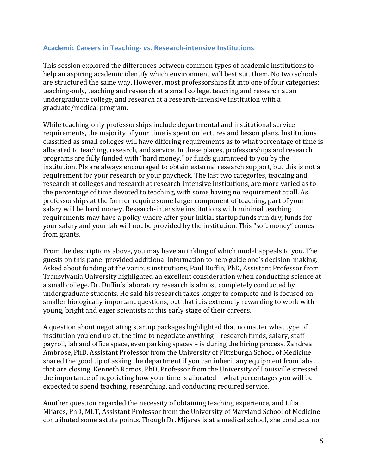### <span id="page-5-0"></span>**Academic Careers in Teaching- vs. Research-intensive Institutions**

This session explored the differences between common types of academic institutions to help an aspiring academic identify which environment will best suit them. No two schools are structured the same way. However, most professorships fit into one of four categories: teaching-only, teaching and research at a small college, teaching and research at an undergraduate college, and research at a research-intensive institution with a graduate/medical program.

While teaching-only professorships include departmental and institutional service requirements, the majority of your time is spent on lectures and lesson plans. Institutions classified as small colleges will have differing requirements as to what percentage of time is allocated to teaching, research, and service. In these places, professorships and research programs are fully funded with "hard money," or funds guaranteed to you by the institution. PIs are always encouraged to obtain external research support, but this is not a requirement for your research or your paycheck. The last two categories, teaching and research at colleges and research at research-intensive institutions, are more varied as to the percentage of time devoted to teaching, with some having no requirement at all. As professorships at the former require some larger component of teaching, part of your salary will be hard money. Research-intensive institutions with minimal teaching requirements may have a policy where after your initial startup funds run dry, funds for your salary and your lab will not be provided by the institution. This "soft money" comes from grants.

From the descriptions above, you may have an inkling of which model appeals to you. The guests on this panel provided additional information to help guide one's decision-making. Asked about funding at the various institutions, Paul Duffin, PhD, Assistant Professor from Transylvania University highlighted an excellent consideration when conducting science at a small college. Dr. Duffin's laboratory research is almost completely conducted by undergraduate students. He said his research takes longer to complete and is focused on smaller biologically important questions, but that it is extremely rewarding to work with young, bright and eager scientists at this early stage of their careers.

A question about negotiating startup packages highlighted that no matter what type of institution you end up at, the time to negotiate anything – research funds, salary, staff payroll, lab and office space, even parking spaces – is during the hiring process. Zandrea Ambrose, PhD, Assistant Professor from the University of Pittsburgh School of Medicine shared the good tip of asking the department if you can inherit any equipment from labs that are closing. Kenneth Ramos, PhD, Professor from the University of Louisville stressed the importance of negotiating how your time is allocated – what percentages you will be expected to spend teaching, researching, and conducting required service.

Another question regarded the necessity of obtaining teaching experience, and Lilia Mijares, PhD, MLT, Assistant Professor from the University of Maryland School of Medicine contributed some astute points. Though Dr. Mijares is at a medical school, she conducts no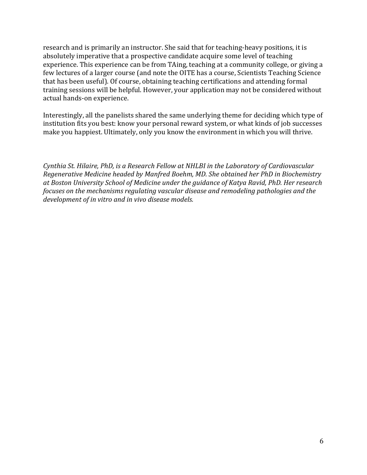research and is primarily an instructor. She said that for teaching-heavy positions, it is absolutely imperative that a prospective candidate acquire some level of teaching experience. This experience can be from TAing, teaching at a community college, or giving a few lectures of a larger course (and note the OITE has a course, Scientists Teaching Science that has been useful). Of course, obtaining teaching certifications and attending formal training sessions will be helpful. However, your application may not be considered without actual hands-on experience.

Interestingly, all the panelists shared the same underlying theme for deciding which type of institution fits you best: know your personal reward system, or what kinds of job successes make you happiest. Ultimately, only you know the environment in which you will thrive.

*Cynthia St. Hilaire, PhD, is a Research Fellow at NHLBI in the Laboratory of Cardiovascular Regenerative Medicine headed by Manfred Boehm, MD. She obtained her PhD in Biochemistry at Boston University School of Medicine under the guidance of Katya Ravid, PhD. Her research focuses on the mechanisms regulating vascular disease and remodeling pathologies and the development of in vitro and in vivo disease models.*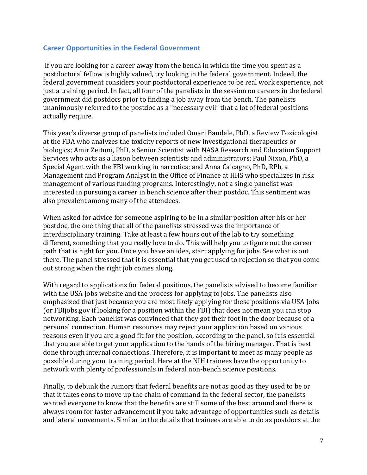### <span id="page-7-0"></span>**Career Opportunities in the Federal Government**

If you are looking for a career away from the bench in which the time you spent as a postdoctoral fellow is highly valued, try looking in the federal government. Indeed, the federal government considers your postdoctoral experience to be real work experience, not just a training period. In fact, all four of the panelists in the session on careers in the federal government did postdocs prior to finding a job away from the bench. The panelists unanimously referred to the postdoc as a "necessary evil" that a lot of federal positions actually require.

This year's diverse group of panelists included Omari Bandele, PhD, a Review Toxicologist at the FDA who analyzes the toxicity reports of new investigational therapeutics or biologics; Amir Zeituni, PhD, a Senior Scientist with NASA Research and Education Support Services who acts as a liason between scientists and administrators; Paul Nixon, PhD, a Special Agent with the FBI working in narcotics; and Anna Calcagno, PhD, RPh, a Management and Program Analyst in the Office of Finance at HHS who specializes in risk management of various funding programs. Interestingly, not a single panelist was interested in pursuing a career in bench science after their postdoc. This sentiment was also prevalent among many of the attendees.

When asked for advice for someone aspiring to be in a similar position after his or her postdoc, the one thing that all of the panelists stressed was the importance of interdisciplinary training. Take at least a few hours out of the lab to try something different, something that you really love to do. This will help you to figure out the career path that is right for you. Once you have an idea, start applying for jobs. See what is out there. The panel stressed that it is essential that you get used to rejection so that you come out strong when the right job comes along.

With regard to applications for federal positions, the panelists advised to become familiar with the USA Jobs website and the process for applying to jobs. The panelists also emphasized that just because you are most likely applying for these positions via USA Jobs (or FBIjobs.gov if looking for a position within the FBI) that does not mean you can stop networking. Each panelist was convinced that they got their foot in the door because of a personal connection. Human resources may reject your application based on various reasons even if you are a good fit for the position, according to the panel, so it is essential that you are able to get your application to the hands of the hiring manager. That is best done through internal connections. Therefore, it is important to meet as many people as possible during your training period. Here at the NIH trainees have the opportunity to network with plenty of professionals in federal non-bench science positions.

Finally, to debunk the rumors that federal benefits are not as good as they used to be or that it takes eons to move up the chain of command in the federal sector, the panelists wanted everyone to know that the benefits are still some of the best around and there is always room for faster advancement if you take advantage of opportunities such as details and lateral movements. Similar to the details that trainees are able to do as postdocs at the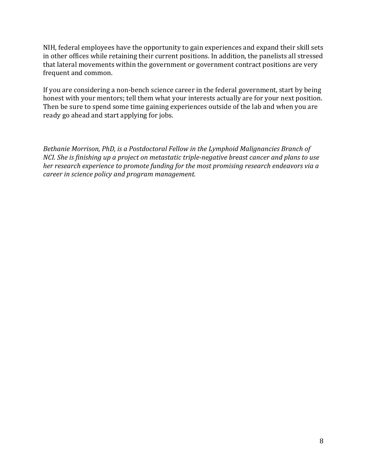NIH, federal employees have the opportunity to gain experiences and expand their skill sets in other offices while retaining their current positions. In addition, the panelists all stressed that lateral movements within the government or government contract positions are very frequent and common.

If you are considering a non-bench science career in the federal government, start by being honest with your mentors; tell them what your interests actually are for your next position. Then be sure to spend some time gaining experiences outside of the lab and when you are ready go ahead and start applying for jobs.

*Bethanie Morrison, PhD, is a Postdoctoral Fellow in the Lymphoid Malignancies Branch of NCI. She is finishing up a project on metastatic triple-negative breast cancer and plans to use her research experience to promote funding for the most promising research endeavors via a career in science policy and program management.*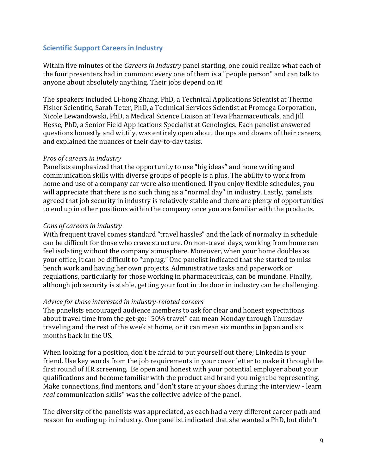# <span id="page-9-0"></span>**Scientific Support Careers in Industry**

Within five minutes of the *Careers in Industry* panel starting, one could realize what each of the four presenters had in common: every one of them is a "people person" and can talk to anyone about absolutely anything. Their jobs depend on it!

The speakers included Li-hong Zhang, PhD, a Technical Applications Scientist at Thermo Fisher Scientific, Sarah Teter, PhD, a Technical Services Scientist at Promega Corporation, Nicole Lewandowski, PhD, a Medical Science Liaison at Teva Pharmaceuticals, and Jill Hesse, PhD, a Senior Field Applications Specialist at Genologics. Each panelist answered questions honestly and wittily, was entirely open about the ups and downs of their careers, and explained the nuances of their day-to-day tasks.

#### *Pros of careers in industry*

Panelists emphasized that the opportunity to use "big ideas" and hone writing and communication skills with diverse groups of people is a plus. The ability to work from home and use of a company car were also mentioned. If you enjoy flexible schedules, you will appreciate that there is no such thing as a "normal day" in industry. Lastly, panelists agreed that job security in industry is relatively stable and there are plenty of opportunities to end up in other positions within the company once you are familiar with the products.

#### *Cons of careers in industry*

With frequent travel comes standard "travel hassles" and the lack of normalcy in schedule can be difficult for those who crave structure. On non-travel days, working from home can feel isolating without the company atmosphere. Moreover, when your home doubles as your office, it can be difficult to "unplug." One panelist indicated that she started to miss bench work and having her own projects. Administrative tasks and paperwork or regulations, particularly for those working in pharmaceuticals, can be mundane. Finally, although job security is stable, getting your foot in the door in industry can be challenging.

#### *Advice for those interested in industry-related careers*

The panelists encouraged audience members to ask for clear and honest expectations about travel time from the get-go: "50% travel" can mean Monday through Thursday traveling and the rest of the week at home, or it can mean six months in Japan and six months back in the US.

When looking for a position, don't be afraid to put yourself out there; LinkedIn is your friend. Use key words from the job requirements in your cover letter to make it through the first round of HR screening. Be open and honest with your potential employer about your qualifications and become familiar with the product and brand you might be representing. Make connections, find mentors, and "don't stare at your shoes during the interview - learn *real* communication skills" was the collective advice of the panel.

The diversity of the panelists was appreciated, as each had a very different career path and reason for ending up in industry. One panelist indicated that she wanted a PhD, but didn't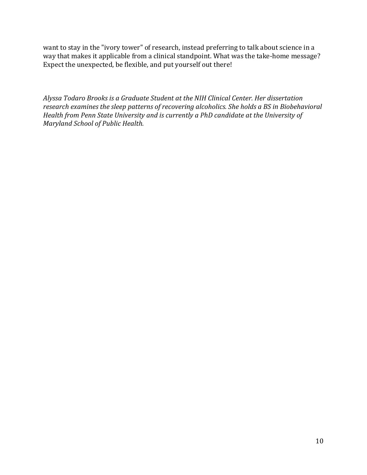want to stay in the "ivory tower" of research, instead preferring to talk about science in a way that makes it applicable from a clinical standpoint. What was the take-home message? Expect the unexpected, be flexible, and put yourself out there!

*Alyssa Todaro Brooks is a Graduate Student at the NIH Clinical Center. Her dissertation research examines the sleep patterns of recovering alcoholics. She holds a BS in Biobehavioral Health from Penn State University and is currently a PhD candidate at the University of Maryland School of Public Health.*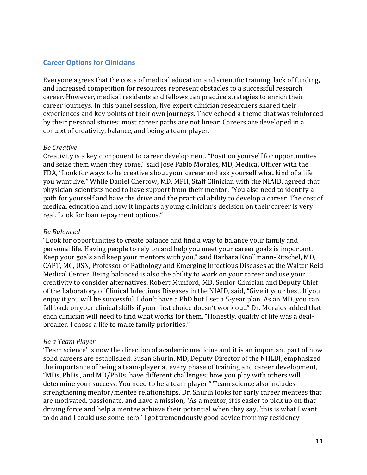# <span id="page-11-0"></span>**Career Options for Clinicians**

Everyone agrees that the costs of medical education and scientific training, lack of funding, and increased competition for resources represent obstacles to a successful research career. However, medical residents and fellows can practice strategies to enrich their career journeys. In this panel session, five expert clinician researchers shared their experiences and key points of their own journeys. They echoed a theme that was reinforced by their personal stories: most career paths are not linear. Careers are developed in a context of creativity, balance, and being a team-player.

# *Be Creative*

Creativity is a key component to career development. "Position yourself for opportunities and seize them when they come," said Jose Pablo Morales, MD, Medical Officer with the FDA, "Look for ways to be creative about your career and ask yourself what kind of a life you want live." While Daniel Chertow, MD, MPH, Staff Clinician with the NIAID, agreed that physician-scientists need to have support from their mentor, "You also need to identify a path for yourself and have the drive and the practical ability to develop a career. The cost of medical education and how it impacts a young clinician's decision on their career is very real. Look for loan repayment options."

### *Be Balanced*

"Look for opportunities to create balance and find a way to balance your family and personal life. Having people to rely on and help you meet your career goals is important. Keep your goals and keep your mentors with you," said Barbara Knollmann-Ritschel, MD, CAPT, MC, USN, Professor of Pathology and Emerging Infectious Diseases at the Walter Reid Medical Center. Being balanced is also the ability to work on your career and use your creativity to consider alternatives. Robert Munford, MD, Senior Clinician and Deputy Chief of the Laboratory of Clinical Infectious Diseases in the NIAID, said, "Give it your best. If you enjoy it you will be successful. I don't have a PhD but I set a 5-year plan. As an MD, you can fall back on your clinical skills if your first choice doesn't work out." Dr. Morales added that each clinician will need to find what works for them, "Honestly, quality of life was a dealbreaker. I chose a life to make family priorities."

#### *Be a Team Player*

'Team science' is now the direction of academic medicine and it is an important part of how solid careers are established. Susan Shurin, MD, Deputy Director of the NHLBI, emphasized the importance of being a team-player at every phase of training and career development, "MDs, PhDs., and MD/PhDs. have different challenges; how you play with others will determine your success. You need to be a team player." Team science also includes strengthening mentor/mentee relationships. Dr. Shurin looks for early career mentees that are motivated, passionate, and have a mission, "As a mentor, it is easier to pick up on that driving force and help a mentee achieve their potential when they say, 'this is what I want to do and I could use some help.' I got tremendously good advice from my residency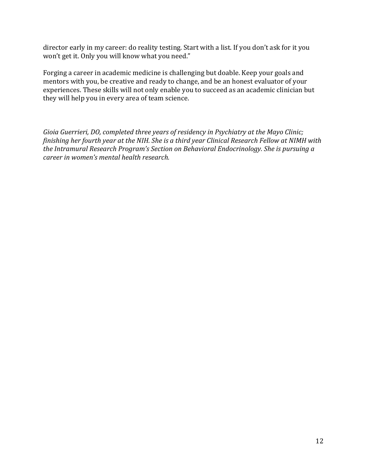director early in my career: do reality testing. Start with a list. If you don't ask for it you won't get it. Only you will know what you need."

Forging a career in academic medicine is challenging but doable. Keep your goals and mentors with you, be creative and ready to change, and be an honest evaluator of your experiences. These skills will not only enable you to succeed as an academic clinician but they will help you in every area of team science.

*Gioia Guerrieri, DO, completed three years of residency in Psychiatry at the Mayo Clinic; finishing her fourth year at the NIH. She is a third year Clinical Research Fellow at NIMH with the Intramural Research Program's Section on Behavioral Endocrinology. She is pursuing a career in women's mental health research.*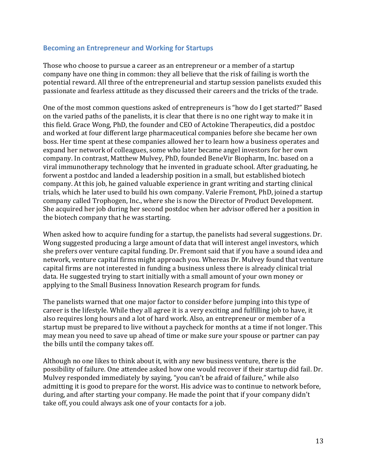### <span id="page-13-0"></span>**Becoming an Entrepreneur and Working for Startups**

Those who choose to pursue a career as an entrepreneur or a member of a startup company have one thing in common: they all believe that the risk of failing is worth the potential reward. All three of the entrepreneurial and startup session panelists exuded this passionate and fearless attitude as they discussed their careers and the tricks of the trade.

One of the most common questions asked of entrepreneurs is "how do I get started?" Based on the varied paths of the panelists, it is clear that there is no one right way to make it in this field. Grace Wong, PhD, the founder and CEO of Actokine Therapeutics, did a postdoc and worked at four different large pharmaceutical companies before she became her own boss. Her time spent at these companies allowed her to learn how a business operates and expand her network of colleagues, some who later became angel investors for her own company. In contrast, Matthew Mulvey, PhD, founded BeneVir Biopharm, Inc. based on a viral immunotherapy technology that he invented in graduate school. After graduating, he forwent a postdoc and landed a leadership position in a small, but established biotech company. At this job, he gained valuable experience in grant writing and starting clinical trials, which he later used to build his own company. Valerie Fremont, PhD, joined a startup company called Trophogen, Inc., where she is now the Director of Product Development. She acquired her job during her second postdoc when her advisor offered her a position in the biotech company that he was starting.

When asked how to acquire funding for a startup, the panelists had several suggestions. Dr. Wong suggested producing a large amount of data that will interest angel investors, which she prefers over venture capital funding. Dr. Fremont said that if you have a sound idea and network, venture capital firms might approach you. Whereas Dr. Mulvey found that venture capital firms are not interested in funding a business unless there is already clinical trial data. He suggested trying to start initially with a small amount of your own money or applying to the Small Business Innovation Research program for funds.

The panelists warned that one major factor to consider before jumping into this type of career is the lifestyle. While they all agree it is a very exciting and fulfilling job to have, it also requires long hours and a lot of hard work. Also, an entrepreneur or member of a startup must be prepared to live without a paycheck for months at a time if not longer. This may mean you need to save up ahead of time or make sure your spouse or partner can pay the bills until the company takes off.

Although no one likes to think about it, with any new business venture, there is the possibility of failure. One attendee asked how one would recover if their startup did fail. Dr. Mulvey responded immediately by saying, "you can't be afraid of failure," while also admitting it is good to prepare for the worst. His advice was to continue to network before, during, and after starting your company. He made the point that if your company didn't take off, you could always ask one of your contacts for a job.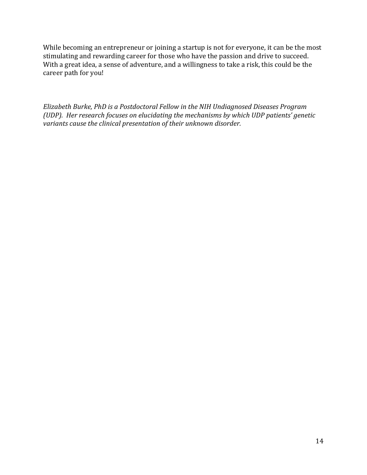While becoming an entrepreneur or joining a startup is not for everyone, it can be the most stimulating and rewarding career for those who have the passion and drive to succeed. With a great idea, a sense of adventure, and a willingness to take a risk, this could be the career path for you!

*Elizabeth Burke, PhD is a Postdoctoral Fellow in the NIH Undiagnosed Diseases Program (UDP). Her research focuses on elucidating the mechanisms by which UDP patients' genetic variants cause the clinical presentation of their unknown disorder.*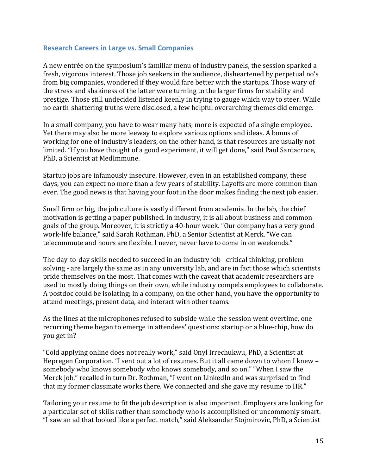### <span id="page-15-0"></span>**Research Careers in Large vs. Small Companies**

A new entrée on the symposium's familiar menu of industry panels, the session sparked a fresh, vigorous interest. Those job seekers in the audience, disheartened by perpetual no's from big companies, wondered if they would fare better with the startups. Those wary of the stress and shakiness of the latter were turning to the larger firms for stability and prestige. Those still undecided listened keenly in trying to gauge which way to steer. While no earth-shattering truths were disclosed, a few helpful overarching themes did emerge.

In a small company, you have to wear many hats; more is expected of a single employee. Yet there may also be more leeway to explore various options and ideas. A bonus of working for one of industry's leaders, on the other hand, is that resources are usually not limited. "If you have thought of a good experiment, it will get done," said Paul Santacroce, PhD, a Scientist at MedImmune.

Startup jobs are infamously insecure. However, even in an established company, these days, you can expect no more than a few years of stability. Layoffs are more common than ever. The good news is that having your foot in the door makes finding the next job easier.

Small firm or big, the job culture is vastly different from academia. In the lab, the chief motivation is getting a paper published. In industry, it is all about business and common goals of the group. Moreover, it is strictly a 40-hour week. "Our company has a very good work-life balance," said Sarah Rothman, PhD, a Senior Scientist at Merck. "We can telecommute and hours are flexible. I never, never have to come in on weekends."

The day-to-day skills needed to succeed in an industry job - critical thinking, problem solving - are largely the same as in any university lab, and are in fact those which scientists pride themselves on the most. That comes with the caveat that academic researchers are used to mostly doing things on their own, while industry compels employees to collaborate. A postdoc could be isolating; in a company, on the other hand, you have the opportunity to attend meetings, present data, and interact with other teams.

As the lines at the microphones refused to subside while the session went overtime, one recurring theme began to emerge in attendees' questions: startup or a blue-chip, how do you get in?

"Cold applying online does not really work," said Onyl Irrechukwu, PhD, a Scientist at Hepregen Corporation. "I sent out a lot of resumes. But it all came down to whom I knew – somebody who knows somebody who knows somebody, and so on." "When I saw the Merck job," recalled in turn Dr. Rothman, "I went on LinkedIn and was surprised to find that my former classmate works there. We connected and she gave my resume to HR."

Tailoring your resume to fit the job description is also important. Employers are looking for a particular set of skills rather than somebody who is accomplished or uncommonly smart. "I saw an ad that looked like a perfect match," said Aleksandar Stojmirovic, PhD, a Scientist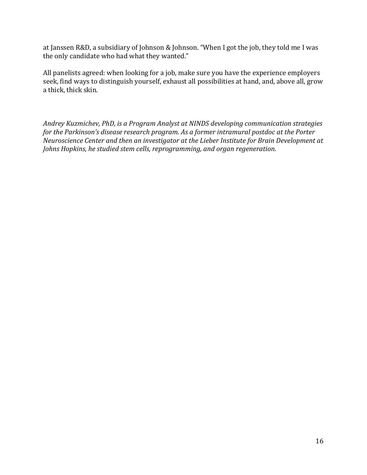at Janssen R&D, a subsidiary of Johnson & Johnson. "When I got the job, they told me I was the only candidate who had what they wanted."

All panelists agreed: when looking for a job, make sure you have the experience employers seek, find ways to distinguish yourself, exhaust all possibilities at hand, and, above all, grow a thick, thick skin.

*Andrey Kuzmichev, PhD, is a Program Analyst at NINDS developing communication strategies for the Parkinson's disease research program. As a former intramural postdoc at the Porter Neuroscience Center and then an investigator at the Lieber Institute for Brain Development at Johns Hopkins, he studied stem cells, reprogramming, and organ regeneration.*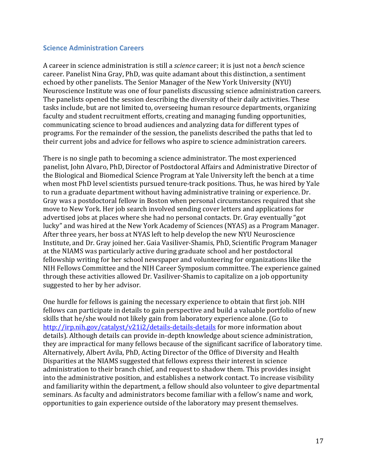### <span id="page-17-0"></span>**Science Administration Careers**

A career in science administration is still a *science* career; it is just not a *bench* science career. Panelist Nina Gray, PhD, was quite adamant about this distinction, a sentiment echoed by other panelists. The Senior Manager of the New York University (NYU) Neuroscience Institute was one of four panelists discussing science administration careers. The panelists opened the session describing the diversity of their daily activities. These tasks include, but are not limited to, overseeing human resource departments, organizing faculty and student recruitment efforts, creating and managing funding opportunities, communicating science to broad audiences and analyzing data for different types of programs. For the remainder of the session, the panelists described the paths that led to their current jobs and advice for fellows who aspire to science administration careers.

There is no single path to becoming a science administrator. The most experienced panelist, John Alvaro, PhD, Director of Postdoctoral Affairs and Administrative Director of the Biological and Biomedical Science Program at Yale University left the bench at a time when most PhD level scientists pursued tenure-track positions. Thus, he was hired by Yale to run a graduate department without having administrative training or experience. Dr. Gray was a postdoctoral fellow in Boston when personal circumstances required that she move to New York. Her job search involved sending cover letters and applications for advertised jobs at places where she had no personal contacts. Dr. Gray eventually "got lucky" and was hired at the New York Academy of Sciences (NYAS) as a Program Manager. After three years, her boss at NYAS left to help develop the new NYU Neuroscience Institute, and Dr. Gray joined her. Gaia Vasiliver-Shamis, PhD, Scientific Program Manager at the NIAMS was particularly active during graduate school and her postdoctoral fellowship writing for her school newspaper and volunteering for organizations like the NIH Fellows Committee and the NIH Career Symposium committee. The experience gained through these activities allowed Dr. Vasiliver-Shamis to capitalize on a job opportunity suggested to her by her advisor.

One hurdle for fellows is gaining the necessary experience to obtain that first job. NIH fellows can participate in details to gain perspective and build a valuable portfolio of new skills that he/she would not likely gain from laboratory experience alone. (Go to <http://irp.nih.gov/catalyst/v21i2/details-details-details> for more information about details). Although details can provide in-depth knowledge about science administration, they are impractical for many fellows because of the significant sacrifice of laboratory time. Alternatively, Albert Avila, PhD, Acting Director of the Office of Diversity and Health Disparities at the NIAMS suggested that fellows express their interest in science administration to their branch chief, and request to shadow them. This provides insight into the administrative position, and establishes a network contact. To increase visibility and familiarity within the department, a fellow should also volunteer to give departmental seminars. As faculty and administrators become familiar with a fellow's name and work, opportunities to gain experience outside of the laboratory may present themselves.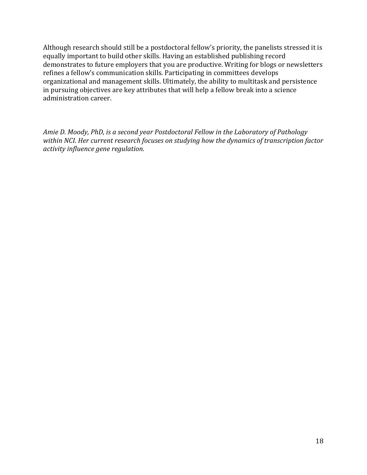Although research should still be a postdoctoral fellow's priority, the panelists stressed it is equally important to build other skills. Having an established publishing record demonstrates to future employers that you are productive. Writing for blogs or newsletters refines a fellow's communication skills. Participating in committees develops organizational and management skills. Ultimately, the ability to multitask and persistence in pursuing objectives are key attributes that will help a fellow break into a science administration career.

*Amie D. Moody, PhD, is a second year Postdoctoral Fellow in the Laboratory of Pathology within NCI. Her current research focuses on studying how the dynamics of transcription factor activity influence gene regulation.*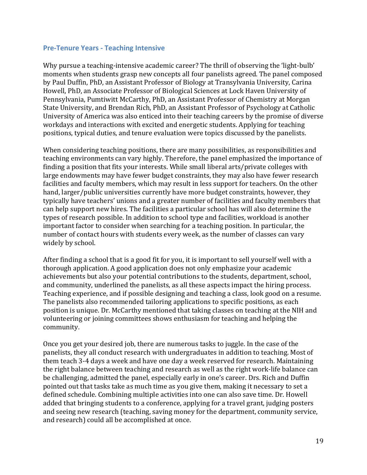#### <span id="page-19-0"></span>**Pre-Tenure Years - Teaching Intensive**

Why pursue a teaching-intensive academic career? The thrill of observing the 'light-bulb' moments when students grasp new concepts all four panelists agreed. The panel composed by Paul Duffin, PhD, an Assistant Professor of Biology at Transylvania University, Carina Howell, PhD, an Associate Professor of Biological Sciences at Lock Haven University of Pennsylvania, Pumtiwitt McCarthy, PhD, an Assistant Professor of Chemistry at Morgan State University, and Brendan Rich, PhD, an Assistant Professor of Psychology at Catholic University of America was also enticed into their teaching careers by the promise of diverse workdays and interactions with excited and energetic students. Applying for teaching positions, typical duties, and tenure evaluation were topics discussed by the panelists.

When considering teaching positions, there are many possibilities, as responsibilities and teaching environments can vary highly. Therefore, the panel emphasized the importance of finding a position that fits your interests. While small liberal arts/private colleges with large endowments may have fewer budget constraints, they may also have fewer research facilities and faculty members, which may result in less support for teachers. On the other hand, larger/public universities currently have more budget constraints, however, they typically have teachers' unions and a greater number of facilities and faculty members that can help support new hires. The facilities a particular school has will also determine the types of research possible. In addition to school type and facilities, workload is another important factor to consider when searching for a teaching position. In particular, the number of contact hours with students every week, as the number of classes can vary widely by school.

After finding a school that is a good fit for you, it is important to sell yourself well with a thorough application. A good application does not only emphasize your academic achievements but also your potential contributions to the students, department, school, and community, underlined the panelists, as all these aspects impact the hiring process. Teaching experience, and if possible designing and teaching a class, look good on a resume. The panelists also recommended tailoring applications to specific positions, as each position is unique. Dr. McCarthy mentioned that taking classes on teaching at the NIH and volunteering or joining committees shows enthusiasm for teaching and helping the community.

Once you get your desired job, there are numerous tasks to juggle. In the case of the panelists, they all conduct research with undergraduates in addition to teaching. Most of them teach 3-4 days a week and have one day a week reserved for research. Maintaining the right balance between teaching and research as well as the right work-life balance can be challenging, admitted the panel, especially early in one's career. Drs. Rich and Duffin pointed out that tasks take as much time as you give them, making it necessary to set a defined schedule. Combining multiple activities into one can also save time. Dr. Howell added that bringing students to a conference, applying for a travel grant, judging posters and seeing new research (teaching, saving money for the department, community service, and research) could all be accomplished at once.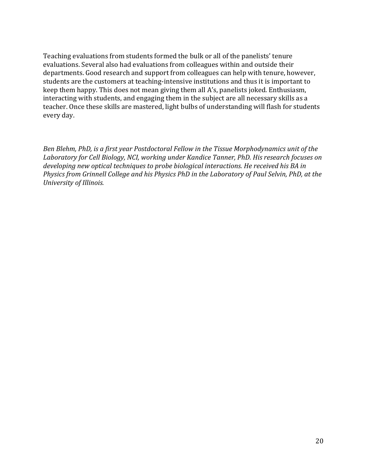Teaching evaluations from students formed the bulk or all of the panelists' tenure evaluations. Several also had evaluations from colleagues within and outside their departments. Good research and support from colleagues can help with tenure, however, students are the customers at teaching-intensive institutions and thus it is important to keep them happy. This does not mean giving them all A's, panelists joked. Enthusiasm, interacting with students, and engaging them in the subject are all necessary skills as a teacher. Once these skills are mastered, light bulbs of understanding will flash for students every day.

*Ben Blehm, PhD, is a first year Postdoctoral Fellow in the Tissue Morphodynamics unit of the Laboratory for Cell Biology, NCI, working under Kandice Tanner, PhD. His research focuses on developing new optical techniques to probe biological interactions. He received his BA in Physics from Grinnell College and his Physics PhD in the Laboratory of Paul Selvin, PhD, at the University of Illinois.*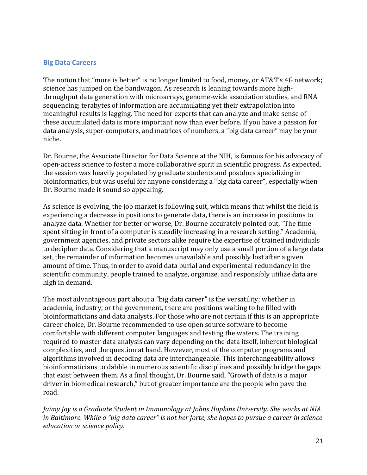### <span id="page-21-0"></span>**Big Data Careers**

The notion that "more is better" is no longer limited to food, money, or AT&T's 4G network; science has jumped on the bandwagon. As research is leaning towards more highthroughput data generation with microarrays, genome-wide association studies, and RNA sequencing; terabytes of information are accumulating yet their extrapolation into meaningful results is lagging. The need for experts that can analyze and make sense of these accumulated data is more important now than ever before. If you have a passion for data analysis, super-computers, and matrices of numbers, a "big data career" may be your niche.

Dr. Bourne, the Associate Director for Data Science at the NIH, is famous for his advocacy of open-access science to foster a more collaborative spirit in scientific progress. As expected, the session was heavily populated by graduate students and postdocs specializing in bioinformatics, but was useful for anyone considering a "big data career", especially when Dr. Bourne made it sound so appealing.

As science is evolving, the job market is following suit, which means that whilst the field is experiencing a decrease in positions to generate data, there is an increase in positions to analyze data. Whether for better or worse, Dr. Bourne accurately pointed out, "The time spent sitting in front of a computer is steadily increasing in a research setting." Academia, government agencies, and private sectors alike require the expertise of trained individuals to decipher data. Considering that a manuscript may only use a small portion of a large data set, the remainder of information becomes unavailable and possibly lost after a given amount of time. Thus, in order to avoid data burial and experimental redundancy in the scientific community, people trained to analyze, organize, and responsibly utilize data are high in demand.

The most advantageous part about a "big data career" is the versatility; whether in academia, industry, or the government, there are positions waiting to be filled with bioinformaticians and data analysts. For those who are not certain if this is an appropriate career choice, Dr. Bourne recommended to use open source software to become comfortable with different computer languages and testing the waters. The training required to master data analysis can vary depending on the data itself, inherent biological complexities, and the question at hand. However, most of the computer programs and algorithms involved in decoding data are interchangeable. This interchangeability allows bioinformaticians to dabble in numerous scientific disciplines and possibly bridge the gaps that exist between them. As a final thought, Dr. Bourne said, "Growth of data is a major driver in biomedical research," but of greater importance are the people who pave the road.

*Jaimy Joy is a Graduate Student in Immunology at Johns Hopkins University. She works at NIA in Baltimore. While a "big data career" is not her forte, she hopes to pursue a career in science education or science policy.*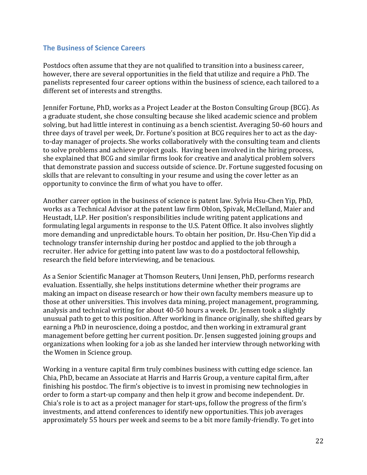### <span id="page-22-0"></span>**The Business of Science Careers**

Postdocs often assume that they are not qualified to transition into a business career, however, there are several opportunities in the field that utilize and require a PhD. The panelists represented four career options within the business of science, each tailored to a different set of interests and strengths.

Jennifer Fortune, PhD, works as a Project Leader at the Boston Consulting Group (BCG). As a graduate student, she chose consulting because she liked academic science and problem solving, but had little interest in continuing as a bench scientist. Averaging 50-60 hours and three days of travel per week, Dr. Fortune's position at BCG requires her to act as the dayto-day manager of projects. She works collaboratively with the consulting team and clients to solve problems and achieve project goals. Having been involved in the hiring process, she explained that BCG and similar firms look for creative and analytical problem solvers that demonstrate passion and success outside of science. Dr. Fortune suggested focusing on skills that are relevant to consulting in your resume and using the cover letter as an opportunity to convince the firm of what you have to offer.

Another career option in the business of science is patent law. Sylvia Hsu-Chen Yip, PhD, works as a Technical Advisor at the patent law firm Oblon, Spivak, McClelland, Maier and Heustadt, LLP. Her position's responsibilities include writing patent applications and formulating legal arguments in response to the U.S. Patent Office. It also involves slightly more demanding and unpredictable hours. To obtain her position, Dr. Hsu-Chen Yip did a technology transfer internship during her postdoc and applied to the job through a recruiter. Her advice for getting into patent law was to do a postdoctoral fellowship, research the field before interviewing, and be tenacious.

As a Senior Scientific Manager at Thomson Reuters, Unni Jensen, PhD, performs research evaluation. Essentially, she helps institutions determine whether their programs are making an impact on disease research or how their own faculty members measure up to those at other universities. This involves data mining, project management, programming, analysis and technical writing for about 40-50 hours a week. Dr. Jensen took a slightly unusual path to get to this position. After working in finance originally, she shifted gears by earning a PhD in neuroscience, doing a postdoc, and then working in extramural grant management before getting her current position. Dr. Jensen suggested joining groups and organizations when looking for a job as she landed her interview through networking with the Women in Science group.

Working in a venture capital firm truly combines business with cutting edge science. Ian Chia, PhD, became an Associate at Harris and Harris Group, a venture capital firm, after finishing his postdoc. The firm's objective is to invest in promising new technologies in order to form a start-up company and then help it grow and become independent. Dr. Chia's role is to act as a project manager for start-ups, follow the progress of the firm's investments, and attend conferences to identify new opportunities. This job averages approximately 55 hours per week and seems to be a bit more family-friendly. To get into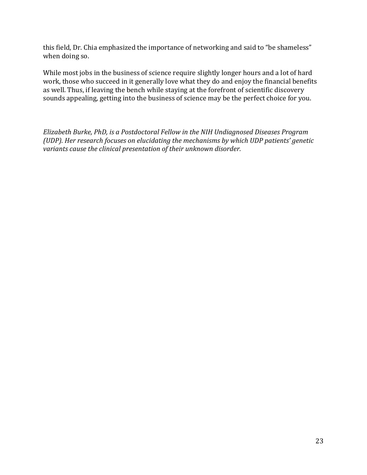this field, Dr. Chia emphasized the importance of networking and said to "be shameless" when doing so.

While most jobs in the business of science require slightly longer hours and a lot of hard work, those who succeed in it generally love what they do and enjoy the financial benefits as well. Thus, if leaving the bench while staying at the forefront of scientific discovery sounds appealing, getting into the business of science may be the perfect choice for you.

*Elizabeth Burke, PhD, is a Postdoctoral Fellow in the NIH Undiagnosed Diseases Program (UDP). Her research focuses on elucidating the mechanisms by which UDP patients' genetic variants cause the clinical presentation of their unknown disorder.*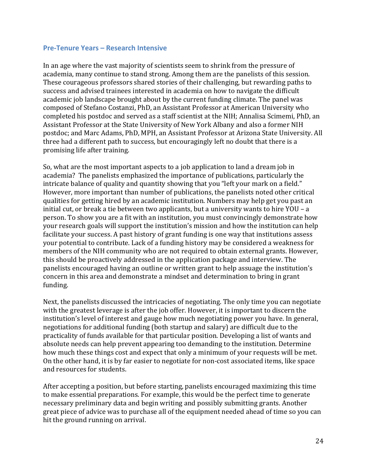#### <span id="page-24-0"></span>**Pre-Tenure Years – Research Intensive**

In an age where the vast majority of scientists seem to shrink from the pressure of academia, many continue to stand strong. Among them are the panelists of this session. These courageous professors shared stories of their challenging, but rewarding paths to success and advised trainees interested in academia on how to navigate the difficult academic job landscape brought about by the current funding climate. The panel was composed of Stefano Costanzi, PhD, an Assistant Professor at American University who completed his postdoc and served as a staff scientist at the NIH; Annalisa Scimemi, PhD, an Assistant Professor at the State University of New York Albany and also a former NIH postdoc; and Marc Adams, PhD, MPH, an Assistant Professor at Arizona State University. All three had a different path to success, but encouragingly left no doubt that there is a promising life after training.

So, what are the most important aspects to a job application to land a dream job in academia? The panelists emphasized the importance of publications, particularly the intricate balance of quality and quantity showing that you "left your mark on a field." However, more important than number of publications, the panelists noted other critical qualities for getting hired by an academic institution. Numbers may help get you past an initial cut, or break a tie between two applicants, but a university wants to hire YOU – a person. To show you are a fit with an institution, you must convincingly demonstrate how your research goals will support the institution's mission and how the institution can help facilitate your success. A past history of grant funding is one way that institutions assess your potential to contribute. Lack of a funding history may be considered a weakness for members of the NIH community who are not required to obtain external grants. However, this should be proactively addressed in the application package and interview. The panelists encouraged having an outline or written grant to help assuage the institution's concern in this area and demonstrate a mindset and determination to bring in grant funding.

Next, the panelists discussed the intricacies of negotiating. The only time you can negotiate with the greatest leverage is after the job offer. However, it is important to discern the institution's level of interest and gauge how much negotiating power you have. In general, negotiations for additional funding (both startup and salary) are difficult due to the practicality of funds available for that particular position. Developing a list of wants and absolute needs can help prevent appearing too demanding to the institution. Determine how much these things cost and expect that only a minimum of your requests will be met. On the other hand, it is by far easier to negotiate for non-cost associated items, like space and resources for students.

After accepting a position, but before starting, panelists encouraged maximizing this time to make essential preparations. For example, this would be the perfect time to generate necessary preliminary data and begin writing and possibly submitting grants. Another great piece of advice was to purchase all of the equipment needed ahead of time so you can hit the ground running on arrival.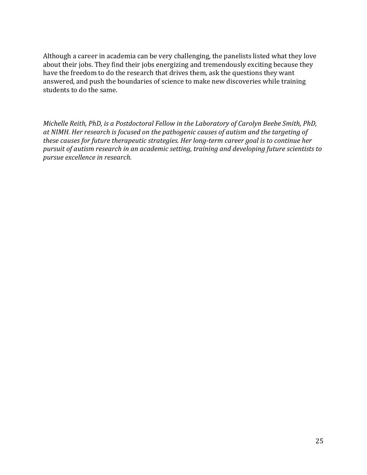Although a career in academia can be very challenging, the panelists listed what they love about their jobs. They find their jobs energizing and tremendously exciting because they have the freedom to do the research that drives them, ask the questions they want answered, and push the boundaries of science to make new discoveries while training students to do the same.

*Michelle Reith, PhD, is a Postdoctoral Fellow in the Laboratory of Carolyn Beebe Smith, PhD, at NIMH. Her research is focused on the pathogenic causes of autism and the targeting of these causes for future therapeutic strategies. Her long-term career goal is to continue her pursuit of autism research in an academic setting, training and developing future scientists to pursue excellence in research.*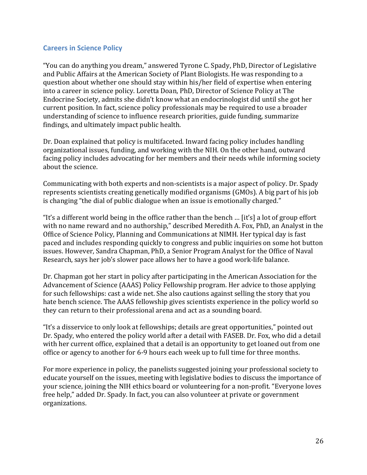### <span id="page-26-0"></span>**Careers in Science Policy**

"You can do anything you dream," answered Tyrone C. Spady, PhD, Director of Legislative and Public Affairs at the American Society of Plant Biologists. He was responding to a question about whether one should stay within his/her field of expertise when entering into a career in science policy. Loretta Doan, PhD, Director of Science Policy at The Endocrine Society, admits she didn't know what an endocrinologist did until she got her current position. In fact, science policy professionals may be required to use a broader understanding of science to influence research priorities, guide funding, summarize findings, and ultimately impact public health.

Dr. Doan explained that policy is multifaceted. Inward facing policy includes handling organizational issues, funding, and working with the NIH. On the other hand, outward facing policy includes advocating for her members and their needs while informing society about the science.

Communicating with both experts and non-scientists is a major aspect of policy. Dr. Spady represents scientists creating genetically modified organisms (GMOs). A big part of his job is changing "the dial of public dialogue when an issue is emotionally charged."

"It's a different world being in the office rather than the bench … [it's] a lot of group effort with no name reward and no authorship," described Meredith A. Fox, PhD, an Analyst in the Office of Science Policy, Planning and Communications at NIMH. Her typical day is fast paced and includes responding quickly to congress and public inquiries on some hot button issues. However, Sandra Chapman, PhD, a Senior Program Analyst for the Office of Naval Research, says her job's slower pace allows her to have a good work-life balance.

Dr. Chapman got her start in policy after participating in the American Association for the Advancement of Science (AAAS) Policy Fellowship program. Her advice to those applying for such fellowships: cast a wide net. She also cautions against selling the story that you hate bench science. The AAAS fellowship gives scientists experience in the policy world so they can return to their professional arena and act as a sounding board.

"It's a disservice to only look at fellowships; details are great opportunities," pointed out Dr. Spady, who entered the policy world after a detail with FASEB. Dr. Fox, who did a detail with her current office, explained that a detail is an opportunity to get loaned out from one office or agency to another for 6-9 hours each week up to full time for three months.

For more experience in policy, the panelists suggested joining your professional society to educate yourself on the issues, meeting with legislative bodies to discuss the importance of your science, joining the NIH ethics board or volunteering for a non-profit. "Everyone loves free help," added Dr. Spady. In fact, you can also volunteer at private or government organizations.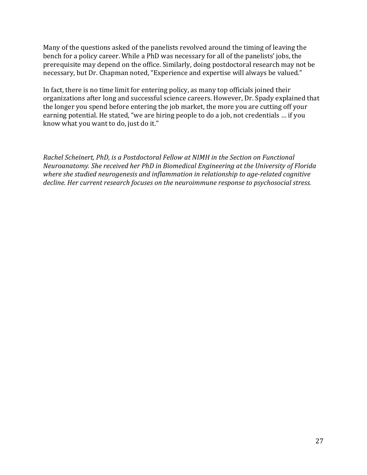Many of the questions asked of the panelists revolved around the timing of leaving the bench for a policy career. While a PhD was necessary for all of the panelists' jobs, the prerequisite may depend on the office. Similarly, doing postdoctoral research may not be necessary, but Dr. Chapman noted, "Experience and expertise will always be valued."

In fact, there is no time limit for entering policy, as many top officials joined their organizations after long and successful science careers. However, Dr. Spady explained that the longer you spend before entering the job market, the more you are cutting off your earning potential. He stated, "we are hiring people to do a job, not credentials … if you know what you want to do, just do it."

*Rachel Scheinert, PhD, is a Postdoctoral Fellow at NIMH in the Section on Functional Neuroanatomy. She received her PhD in Biomedical Engineering at the University of Florida where she studied neurogenesis and inflammation in relationship to age-related cognitive decline. Her current research focuses on the neuroimmune response to psychosocial stress.*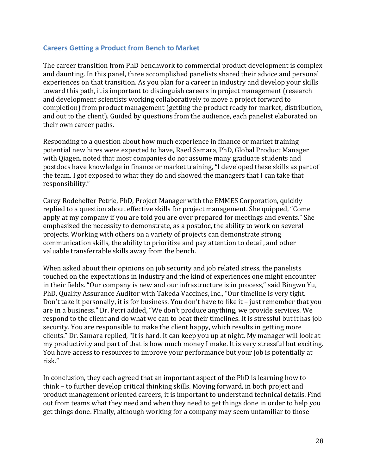### <span id="page-28-0"></span>**Careers Getting a Product from Bench to Market**

The career transition from PhD benchwork to commercial product development is complex and daunting. In this panel, three accomplished panelists shared their advice and personal experiences on that transition. As you plan for a career in industry and develop your skills toward this path, it is important to distinguish careers in project management (research and development scientists working collaboratively to move a project forward to completion) from product management (getting the product ready for market, distribution, and out to the client). Guided by questions from the audience, each panelist elaborated on their own career paths.

Responding to a question about how much experience in finance or market training potential new hires were expected to have, Raed Samara, PhD, Global Product Manager with Qiagen, noted that most companies do not assume many graduate students and postdocs have knowledge in finance or market training, "I developed these skills as part of the team. I got exposed to what they do and showed the managers that I can take that responsibility."

Carey Rodeheffer Petrie, PhD, Project Manager with the EMMES Corporation, quickly replied to a question about effective skills for project management. She quipped, "Come apply at my company if you are told you are over prepared for meetings and events." She emphasized the necessity to demonstrate, as a postdoc, the ability to work on several projects. Working with others on a variety of projects can demonstrate strong communication skills, the ability to prioritize and pay attention to detail, and other valuable transferrable skills away from the bench.

When asked about their opinions on job security and job related stress, the panelists touched on the expectations in industry and the kind of experiences one might encounter in their fields. "Our company is new and our infrastructure is in process," said Bingwu Yu, PhD, Quality Assurance Auditor with Takeda Vaccines, Inc., "Our timeline is very tight. Don't take it personally, it is for business. You don't have to like it – just remember that you are in a business." Dr. Petri added, "We don't produce anything, we provide services. We respond to the client and do what we can to beat their timelines. It is stressful but it has job security. You are responsible to make the client happy, which results in getting more clients." Dr. Samara replied, "It is hard. It can keep you up at night. My manager will look at my productivity and part of that is how much money I make. It is very stressful but exciting. You have access to resources to improve your performance but your job is potentially at risk."

In conclusion, they each agreed that an important aspect of the PhD is learning how to think – to further develop critical thinking skills. Moving forward, in both project and product management oriented careers, it is important to understand technical details. Find out from teams what they need and when they need to get things done in order to help you get things done. Finally, although working for a company may seem unfamiliar to those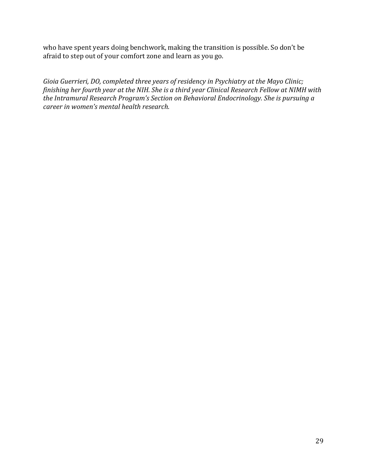who have spent years doing benchwork, making the transition is possible. So don't be afraid to step out of your comfort zone and learn as you go.

*Gioia Guerrieri, DO, completed three years of residency in Psychiatry at the Mayo Clinic; finishing her fourth year at the NIH. She is a third year Clinical Research Fellow at NIMH with the Intramural Research Program's Section on Behavioral Endocrinology. She is pursuing a career in women's mental health research.*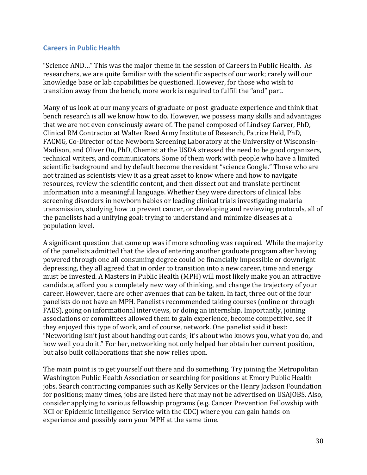# <span id="page-30-0"></span>**Careers in Public Health**

"Science AND…" This was the major theme in the session of Careers in Public Health. As researchers, we are quite familiar with the scientific aspects of our work; rarely will our knowledge base or lab capabilities be questioned. However, for those who wish to transition away from the bench, more work is required to fulfill the "and" part.

Many of us look at our many years of graduate or post-graduate experience and think that bench research is all we know how to do. However, we possess many skills and advantages that we are not even consciously aware of. The panel composed of Lindsey Garver, PhD, Clinical RM Contractor at Walter Reed Army Institute of Research, Patrice Held, PhD, FACMG, Co-Director of the Newborn Screening Laboratory at the University of Wisconsin-Madison, and Oliver Ou, PhD, Chemist at the USDA stressed the need to be good organizers, technical writers, and communicators. Some of them work with people who have a limited scientific background and by default become the resident "science Google." Those who are not trained as scientists view it as a great asset to know where and how to navigate resources, review the scientific content, and then dissect out and translate pertinent information into a meaningful language. Whether they were directors of clinical labs screening disorders in newborn babies or leading clinical trials investigating malaria transmission, studying how to prevent cancer, or developing and reviewing protocols, all of the panelists had a unifying goal: trying to understand and minimize diseases at a population level.

A significant question that came up was if more schooling was required. While the majority of the panelists admitted that the idea of entering another graduate program after having powered through one all-consuming degree could be financially impossible or downright depressing, they all agreed that in order to transition into a new career, time and energy must be invested. A Masters in Public Health (MPH) will most likely make you an attractive candidate, afford you a completely new way of thinking, and change the trajectory of your career. However, there are other avenues that can be taken. In fact, three out of the four panelists do not have an MPH. Panelists recommended taking courses (online or through FAES), going on informational interviews, or doing an internship. Importantly, joining associations or committees allowed them to gain experience, become competitive, see if they enjoyed this type of work, and of course, network. One panelist said it best: "Networking isn't just about handing out cards; it's about who knows you, what you do, and how well you do it." For her, networking not only helped her obtain her current position, but also built collaborations that she now relies upon.

The main point is to get yourself out there and do something. Try joining the Metropolitan Washington Public Health Association or searching for positions at Emory Public Health jobs. Search contracting companies such as Kelly Services or the Henry Jackson Foundation for positions; many times, jobs are listed here that may not be advertised on USAJOBS. Also, consider applying to various fellowship programs (e.g. Cancer Prevention Fellowship with NCI or Epidemic Intelligence Service with the CDC) where you can gain hands-on experience and possibly earn your MPH at the same time.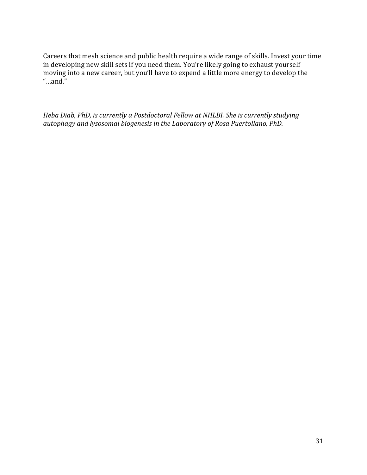Careers that mesh science and public health require a wide range of skills. Invest your time in developing new skill sets if you need them. You're likely going to exhaust yourself moving into a new career, but you'll have to expend a little more energy to develop the "…and."

*Heba Diab, PhD, is currently a Postdoctoral Fellow at NHLBI. She is currently studying autophagy and lysosomal biogenesis in the Laboratory of Rosa Puertollano, PhD.*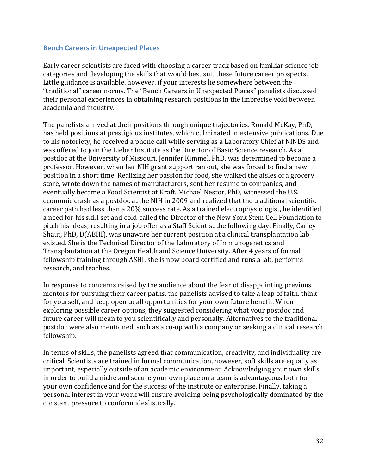#### <span id="page-32-0"></span>**Bench Careers in Unexpected Places**

Early career scientists are faced with choosing a career track based on familiar science job categories and developing the skills that would best suit these future career prospects. Little guidance is available, however, if your interests lie somewhere between the "traditional" career norms. The "Bench Careers in Unexpected Places" panelists discussed their personal experiences in obtaining research positions in the imprecise void between academia and industry.

The panelists arrived at their positions through unique trajectories. Ronald McKay, PhD, has held positions at prestigious institutes, which culminated in extensive publications. Due to his notoriety, he received a phone call while serving as a Laboratory Chief at NINDS and was offered to join the Lieber Institute as the Director of Basic Science research. As a postdoc at the University of Missouri, Jennifer Kimmel, PhD, was determined to become a professor. However, when her NIH grant support ran out, she was forced to find a new position in a short time. Realizing her passion for food, she walked the aisles of a grocery store, wrote down the names of manufacturers, sent her resume to companies, and eventually became a Food Scientist at Kraft. Michael Nestor, PhD, witnessed the U.S. economic crash as a postdoc at the NIH in 2009 and realized that the traditional scientific career path had less than a 20% success rate. As a trained electrophysiologist, he identified a need for his skill set and cold-called the Director of the New York Stem Cell Foundation to pitch his ideas; resulting in a job offer as a Staff Scientist the following day. Finally, Carley Shaut, PhD, D(ABHI), was unaware her current position at a clinical transplantation lab existed. She is the Technical Director of the Laboratory of Immunogenetics and Transplantation at the Oregon Health and Science University. After 4 years of formal fellowship training through ASHI, she is now board certified and runs a lab, performs research, and teaches.

In response to concerns raised by the audience about the fear of disappointing previous mentors for pursuing their career paths, the panelists advised to take a leap of faith, think for yourself, and keep open to all opportunities for your own future benefit. When exploring possible career options, they suggested considering what your postdoc and future career will mean to you scientifically and personally. Alternatives to the traditional postdoc were also mentioned, such as a co-op with a company or seeking a clinical research fellowship.

In terms of skills, the panelists agreed that communication, creativity, and individuality are critical. Scientists are trained in formal communication, however, soft skills are equally as important, especially outside of an academic environment. Acknowledging your own skills in order to build a niche and secure your own place on a team is advantageous both for your own confidence and for the success of the institute or enterprise. Finally, taking a personal interest in your work will ensure avoiding being psychologically dominated by the constant pressure to conform idealistically.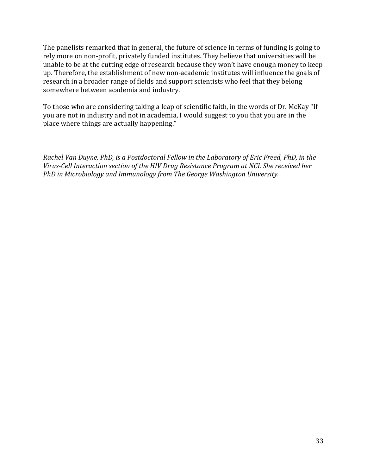The panelists remarked that in general, the future of science in terms of funding is going to rely more on non-profit, privately funded institutes. They believe that universities will be unable to be at the cutting edge of research because they won't have enough money to keep up. Therefore, the establishment of new non-academic institutes will influence the goals of research in a broader range of fields and support scientists who feel that they belong somewhere between academia and industry.

To those who are considering taking a leap of scientific faith, in the words of Dr. McKay "If you are not in industry and not in academia, I would suggest to you that you are in the place where things are actually happening."

*Rachel Van Duyne, PhD, is a Postdoctoral Fellow in the Laboratory of Eric Freed, PhD, in the Virus-Cell Interaction section of the HIV Drug Resistance Program at NCI. She received her PhD in Microbiology and Immunology from The George Washington University.*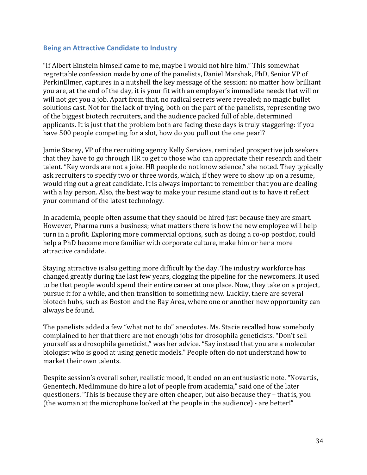#### <span id="page-34-0"></span>**Being an Attractive Candidate to Industry**

"If Albert Einstein himself came to me, maybe I would not hire him." This somewhat regrettable confession made by one of the panelists, Daniel Marshak, PhD, Senior VP of PerkinElmer, captures in a nutshell the key message of the session: no matter how brilliant you are, at the end of the day, it is your fit with an employer's immediate needs that will or will not get you a job. Apart from that, no radical secrets were revealed; no magic bullet solutions cast. Not for the lack of trying, both on the part of the panelists, representing two of the biggest biotech recruiters, and the audience packed full of able, determined applicants. It is just that the problem both are facing these days is truly staggering: if you have 500 people competing for a slot, how do you pull out the one pearl?

Jamie Stacey, VP of the recruiting agency Kelly Services, reminded prospective job seekers that they have to go through HR to get to those who can appreciate their research and their talent. "Key words are not a joke. HR people do not know science," she noted. They typically ask recruiters to specify two or three words, which, if they were to show up on a resume, would ring out a great candidate. It is always important to remember that you are dealing with a lay person. Also, the best way to make your resume stand out is to have it reflect your command of the latest technology.

In academia, people often assume that they should be hired just because they are smart. However, Pharma runs a business; what matters there is how the new employee will help turn in a profit. Exploring more commercial options, such as doing a co-op postdoc, could help a PhD become more familiar with corporate culture, make him or her a more attractive candidate.

Staying attractive is also getting more difficult by the day. The industry workforce has changed greatly during the last few years, clogging the pipeline for the newcomers. It used to be that people would spend their entire career at one place. Now, they take on a project, pursue it for a while, and then transition to something new. Luckily, there are several biotech hubs, such as Boston and the Bay Area, where one or another new opportunity can always be found.

The panelists added a few "what not to do" anecdotes. Ms. Stacie recalled how somebody complained to her that there are not enough jobs for drosophila geneticists. "Don't sell yourself as a drosophila geneticist," was her advice. "Say instead that you are a molecular biologist who is good at using genetic models." People often do not understand how to market their own talents.

Despite session's overall sober, realistic mood, it ended on an enthusiastic note. "Novartis, Genentech, MedImmune do hire a lot of people from academia," said one of the later questioners. "This is because they are often cheaper, but also because they – that is, you (the woman at the microphone looked at the people in the audience) - are better!"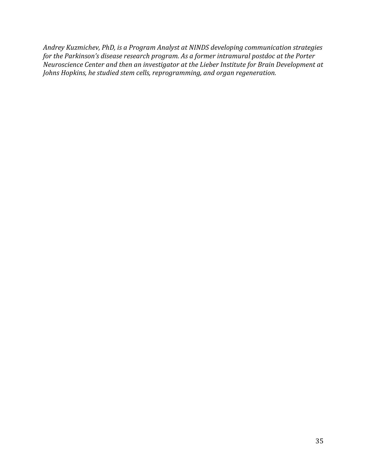*Andrey Kuzmichev, PhD, is a Program Analyst at NINDS developing communication strategies for the Parkinson's disease research program. As a former intramural postdoc at the Porter Neuroscience Center and then an investigator at the Lieber Institute for Brain Development at Johns Hopkins, he studied stem cells, reprogramming, and organ regeneration.*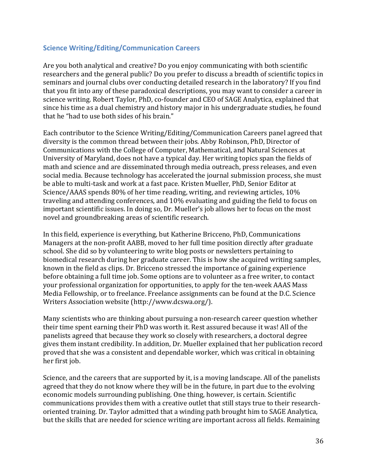# <span id="page-36-0"></span>**Science Writing/Editing/Communication Careers**

Are you both analytical and creative? Do you enjoy communicating with both scientific researchers and the general public? Do you prefer to discuss a breadth of scientific topics in seminars and journal clubs over conducting detailed research in the laboratory? If you find that you fit into any of these paradoxical descriptions, you may want to consider a career in science writing. Robert Taylor, PhD, co-founder and CEO of SAGE Analytica, explained that since his time as a dual chemistry and history major in his undergraduate studies, he found that he "had to use both sides of his brain."

Each contributor to the Science Writing/Editing/Communication Careers panel agreed that diversity is the common thread between their jobs. Abby Robinson, PhD, Director of Communications with the College of Computer, Mathematical, and Natural Sciences at University of Maryland, does not have a typical day. Her writing topics span the fields of math and science and are disseminated through media outreach, press releases, and even social media. Because technology has accelerated the journal submission process, she must be able to multi-task and work at a fast pace. Kristen Mueller, PhD, Senior Editor at Science/AAAS spends 80% of her time reading, writing, and reviewing articles, 10% traveling and attending conferences, and 10% evaluating and guiding the field to focus on important scientific issues. In doing so, Dr. Mueller's job allows her to focus on the most novel and groundbreaking areas of scientific research.

In this field, experience is everything, but Katherine Bricceno, PhD, Communications Managers at the non-profit AABB, moved to her full time position directly after graduate school. She did so by volunteering to write blog posts or newsletters pertaining to biomedical research during her graduate career. This is how she acquired writing samples, known in the field as clips. Dr. Bricceno stressed the importance of gaining experience before obtaining a full time job. Some options are to volunteer as a free writer, to contact your professional organization for opportunities, to apply for the ten-week AAAS Mass Media Fellowship, or to freelance. Freelance assignments can be found at the D.C. Science Writers Association website (http://www.dcswa.org/).

Many scientists who are thinking about pursuing a non-research career question whether their time spent earning their PhD was worth it. Rest assured because it was! All of the panelists agreed that because they work so closely with researchers, a doctoral degree gives them instant credibility. In addition, Dr. Mueller explained that her publication record proved that she was a consistent and dependable worker, which was critical in obtaining her first job.

Science, and the careers that are supported by it, is a moving landscape. All of the panelists agreed that they do not know where they will be in the future, in part due to the evolving economic models surrounding publishing. One thing, however, is certain. Scientific communications provides them with a creative outlet that still stays true to their researchoriented training. Dr. Taylor admitted that a winding path brought him to SAGE Analytica, but the skills that are needed for science writing are important across all fields. Remaining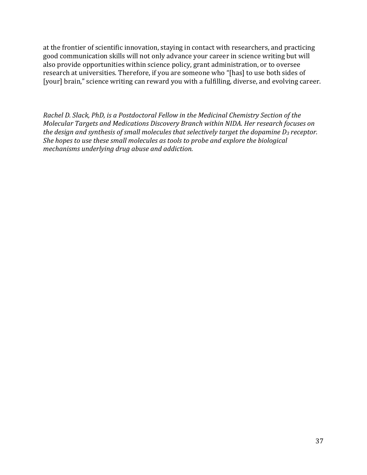at the frontier of scientific innovation, staying in contact with researchers, and practicing good communication skills will not only advance your career in science writing but will also provide opportunities within science policy, grant administration, or to oversee research at universities. Therefore, if you are someone who "[has] to use both sides of [your] brain," science writing can reward you with a fulfilling, diverse, and evolving career.

*Rachel D. Slack, PhD, is a Postdoctoral Fellow in the Medicinal Chemistry Section of the Molecular Targets and Medications Discovery Branch within NIDA. Her research focuses on the design and synthesis of small molecules that selectively target the dopamine D3 receptor. She hopes to use these small molecules as tools to probe and explore the biological mechanisms underlying drug abuse and addiction.*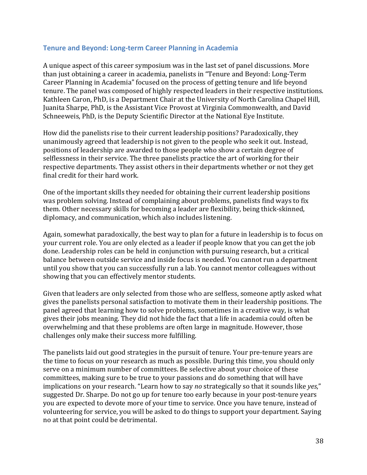### <span id="page-38-0"></span>**Tenure and Beyond: Long-term Career Planning in Academia**

A unique aspect of this career symposium was in the last set of panel discussions. More than just obtaining a career in academia, panelists in "Tenure and Beyond: Long-Term Career Planning in Academia" focused on the process of getting tenure and life beyond tenure. The panel was composed of highly respected leaders in their respective institutions. Kathleen Caron, PhD, is a Department Chair at the University of North Carolina Chapel Hill, Juanita Sharpe, PhD, is the Assistant Vice Provost at Virginia Commonwealth, and David Schneeweis, PhD, is the Deputy Scientific Director at the National Eye Institute.

How did the panelists rise to their current leadership positions? Paradoxically, they unanimously agreed that leadership is not given to the people who seek it out. Instead, positions of leadership are awarded to those people who show a certain degree of selflessness in their service. The three panelists practice the art of working for their respective departments. They assist others in their departments whether or not they get final credit for their hard work.

One of the important skills they needed for obtaining their current leadership positions was problem solving. Instead of complaining about problems, panelists find ways to fix them. Other necessary skills for becoming a leader are flexibility, being thick-skinned, diplomacy, and communication, which also includes listening.

Again, somewhat paradoxically, the best way to plan for a future in leadership is to focus on your current role. You are only elected as a leader if people know that you can get the job done. Leadership roles can be held in conjunction with pursuing research, but a critical balance between outside service and inside focus is needed. You cannot run a department until you show that you can successfully run a lab. You cannot mentor colleagues without showing that you can effectively mentor students.

Given that leaders are only selected from those who are selfless, someone aptly asked what gives the panelists personal satisfaction to motivate them in their leadership positions. The panel agreed that learning how to solve problems, sometimes in a creative way, is what gives their jobs meaning. They did not hide the fact that a life in academia could often be overwhelming and that these problems are often large in magnitude. However, those challenges only make their success more fulfilling.

The panelists laid out good strategies in the pursuit of tenure. Your pre-tenure years are the time to focus on your research as much as possible. During this time, you should only serve on a minimum number of committees. Be selective about your choice of these committees, making sure to be true to your passions and do something that will have implications on your research. "Learn how to say *no* strategically so that it sounds like *yes*," suggested Dr. Sharpe. Do not go up for tenure too early because in your post-tenure years you are expected to devote more of your time to service. Once you have tenure, instead of volunteering for service, you will be asked to do things to support your department. Saying no at that point could be detrimental.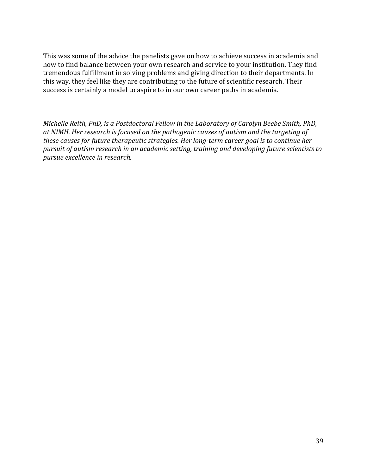This was some of the advice the panelists gave on how to achieve success in academia and how to find balance between your own research and service to your institution. They find tremendous fulfillment in solving problems and giving direction to their departments. In this way, they feel like they are contributing to the future of scientific research. Their success is certainly a model to aspire to in our own career paths in academia.

*Michelle Reith, PhD, is a Postdoctoral Fellow in the Laboratory of Carolyn Beebe Smith, PhD, at NIMH. Her research is focused on the pathogenic causes of autism and the targeting of these causes for future therapeutic strategies. Her long-term career goal is to continue her pursuit of autism research in an academic setting, training and developing future scientists to pursue excellence in research.*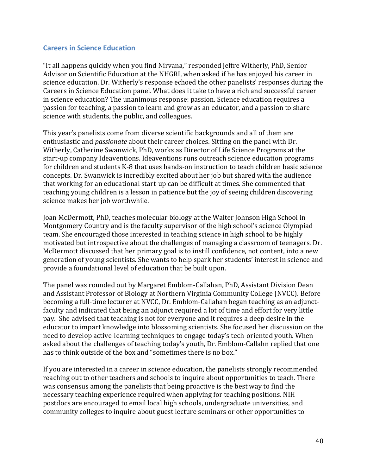### <span id="page-40-0"></span>**Careers in Science Education**

"It all happens quickly when you find Nirvana," responded Jeffre Witherly, PhD, Senior Advisor on Scientific Education at the NHGRI, when asked if he has enjoyed his career in science education. Dr. Witherly's response echoed the other panelists' responses during the Careers in Science Education panel. What does it take to have a rich and successful career in science education? The unanimous response: passion. Science education requires a passion for teaching, a passion to learn and grow as an educator, and a passion to share science with students, the public, and colleagues.

This year's panelists come from diverse scientific backgrounds and all of them are enthusiastic and *passionate* about their career choices. Sitting on the panel with Dr. Witherly, Catherine Swanwick, PhD, works as Director of Life Science Programs at the start-up company Ideaventions. Ideaventions runs outreach science education programs for children and students K-8 that uses hands-on instruction to teach children basic science concepts. Dr. Swanwick is incredibly excited about her job but shared with the audience that working for an educational start-up can be difficult at times. She commented that teaching young children is a lesson in patience but the joy of seeing children discovering science makes her job worthwhile.

Joan McDermott, PhD, teaches molecular biology at the Walter Johnson High School in Montgomery Country and is the faculty supervisor of the high school's science Olympiad team. She encouraged those interested in teaching science in high school to be highly motivated but introspective about the challenges of managing a classroom of teenagers. Dr. McDermott discussed that her primary goal is to instill confidence, not content, into a new generation of young scientists. She wants to help spark her students' interest in science and provide a foundational level of education that be built upon.

The panel was rounded out by Margaret Emblom-Callahan, PhD, Assistant Division Dean and Assistant Professor of Biology at Northern Virginia Community College (NVCC). Before becoming a full-time lecturer at NVCC, Dr. Emblom-Callahan began teaching as an adjunctfaculty and indicated that being an adjunct required a lot of time and effort for very little pay. She advised that teaching is not for everyone and it requires a deep desire in the educator to impart knowledge into blossoming scientists. She focused her discussion on the need to develop active-learning techniques to engage today's tech-oriented youth. When asked about the challenges of teaching today's youth, Dr. Emblom-Callahn replied that one has to think outside of the box and "sometimes there is no box."

If you are interested in a career in science education, the panelists strongly recommended reaching out to other teachers and schools to inquire about opportunities to teach. There was consensus among the panelists that being proactive is the best way to find the necessary teaching experience required when applying for teaching positions. NIH postdocs are encouraged to email local high schools, undergraduate universities, and community colleges to inquire about guest lecture seminars or other opportunities to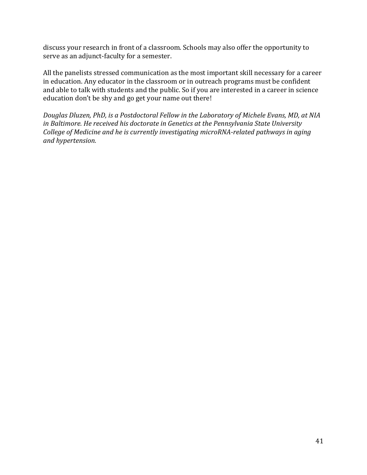discuss your research in front of a classroom. Schools may also offer the opportunity to serve as an adjunct-faculty for a semester.

All the panelists stressed communication as the most important skill necessary for a career in education. Any educator in the classroom or in outreach programs must be confident and able to talk with students and the public. So if you are interested in a career in science education don't be shy and go get your name out there!

*Douglas Dluzen, PhD, is a Postdoctoral Fellow in the Laboratory of Michele Evans, MD, at NIA in Baltimore. He received his doctorate in Genetics at the Pennsylvania State University College of Medicine and he is currently investigating microRNA-related pathways in aging and hypertension.*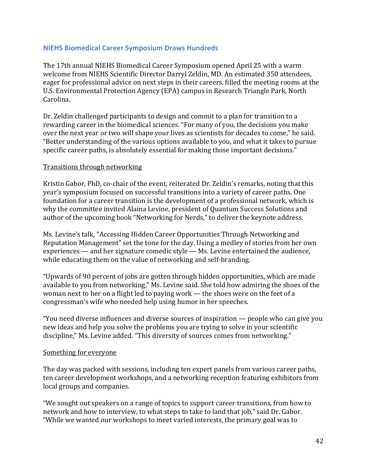# <span id="page-42-0"></span>**NIEHS Biomedical Career Symposium Draws Hundreds**

The 17th annual NIEHS Biomedical Career Symposium opened April 25 with a warm welcome from NIEHS Scientific Director Darryl Zeldin, MD. An estimated 350 attendees, eager for professional advice on next steps in their careers, filled the meeting rooms at the U.S. Environmental Protection Agency (EPA) campus in Research Triangle Park, North Carolina.

Dr. Zeldin challenged participants to design and commit to a plan for transition to a rewarding career in the biomedical sciences. "For many of you, the decisions you make over the next year or two will shape your lives as scientists for decades to come," he said. "Better understanding of the various options available to you, and what it takes to pursue specific career paths, is absolutely essential for making those important decisions."

# Transitions through networking

Kristin Gabor, PhD, co-chair of the event, reiterated Dr. Zeldin's remarks, noting that this year's symposium focused on successful transitions into a variety of career paths. One foundation for a career transition is the development of a professional network, which is why the committee invited Alaina Levine, president of Quantum Success Solutions and author of the upcoming book "Networking for Nerds," to deliver the keynote address.

Ms. Levine's talk, "Accessing Hidden Career Opportunities Through Networking and Reputation Management" set the tone for the day. Using a medley of stories from her own experiences — and her signature comedic style — Ms. Levine entertained the audience, while educating them on the value of networking and self-branding.

"Upwards of 90 percent of jobs are gotten through hidden opportunities, which are made available to you from networking," Ms. Levine said. She told how admiring the shoes of the woman next to her on a flight led to paying work — the shoes were on the feet of a congressman's wife who needed help using humor in her speeches.

"You need diverse influences and diverse sources of inspiration — people who can give you new ideas and help you solve the problems you are trying to solve in your scientific discipline," Ms. Levine added. "This diversity of sources comes from networking."

# Something for everyone

The day was packed with sessions, including ten expert panels from various career paths, ten career development workshops, and a networking reception featuring exhibitors from local groups and companies.

"We sought out speakers on a range of topics to support career transitions, from how to network and how to interview, to what steps to take to land that job," said Dr. Gabor. "While we wanted our workshops to meet varied interests, the primary goal was to